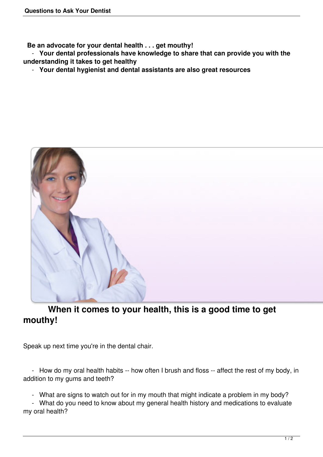**Be an advocate for your dental health . . . get mouthy!** 

 - **Your dental professionals have knowledge to share that can provide you with the understanding it takes to get healthy**

- **Your dental hygienist and dental assistants are also great resources**



## **When it comes to your health, this is a good time to get mouthy!**

Speak up next time you're in the dental chair.

 - How do my oral health habits -- how often I brush and floss -- affect the rest of my body, in addition to my gums and teeth?

- What are signs to watch out for in my mouth that might indicate a problem in my body?

 - What do you need to know about my general health history and medications to evaluate my oral health?